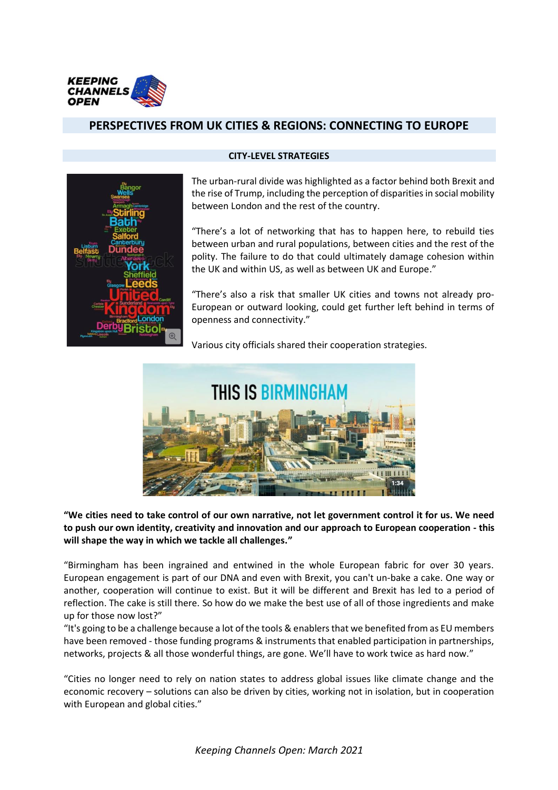

# **PERSPECTIVES FROM UK CITIES & REGIONS: CONNECTING TO EUROPE**



#### **CITY-LEVEL STRATEGIES**

The urban-rural divide was highlighted as a factor behind both Brexit and the rise of Trump, including the perception of disparities in social mobility between London and the rest of the country.

"There's a lot of networking that has to happen here, to rebuild ties between urban and rural populations, between cities and the rest of the polity. The failure to do that could ultimately damage cohesion within the UK and within US, as well as between UK and Europe."

"There's also a risk that smaller UK cities and towns not already pro-European or outward looking, could get further left behind in terms of openness and connectivity."

Various city officials shared their cooperation strategies.



**"We cities need to take control of our own narrative, not let government control it for us. We need to push our own identity, creativity and innovation and our approach to European cooperation - this will shape the way in which we tackle all challenges."** 

"Birmingham has been ingrained and entwined in the whole European fabric for over 30 years. European engagement is part of our DNA and even with Brexit, you can't un-bake a cake. One way or another, cooperation will continue to exist. But it will be different and Brexit has led to a period of reflection. The cake is still there. So how do we make the best use of all of those ingredients and make up for those now lost?"

"It's going to be a challenge because a lot of the tools & enablers that we benefited from as EU members have been removed - those funding programs & instruments that enabled participation in partnerships, networks, projects & all those wonderful things, are gone. We'll have to work twice as hard now."

"Cities no longer need to rely on nation states to address global issues like climate change and the economic recovery – solutions can also be driven by cities, working not in isolation, but in cooperation with European and global cities."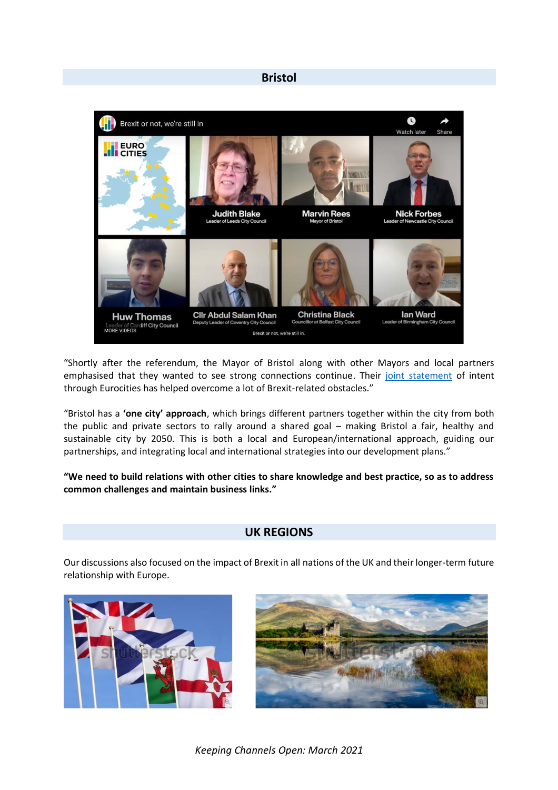### **Bristol**



"Shortly after the referendum, the Mayor of Bristol along with other Mayors and local partners emphasised that they wanted to see strong connections continue. Their [joint statement](https://eurocities.eu/latest/keeping-europe-together-after-brexit/) of intent through Eurocities has helped overcome a lot of Brexit-related obstacles."

"Bristol has a **'one city' approach**, which brings different partners together within the city from both the public and private sectors to rally around a shared goal – making Bristol a fair, healthy and sustainable city by 2050. This is both a local and European/international approach, guiding our partnerships, and integrating local and international strategies into our development plans."

**"We need to build relations with other cities to share knowledge and best practice, so as to address common challenges and maintain business links."**

## **UK REGIONS**

Our discussions also focused on the impact of Brexit in all nations of the UK and their longer-term future relationship with Europe.